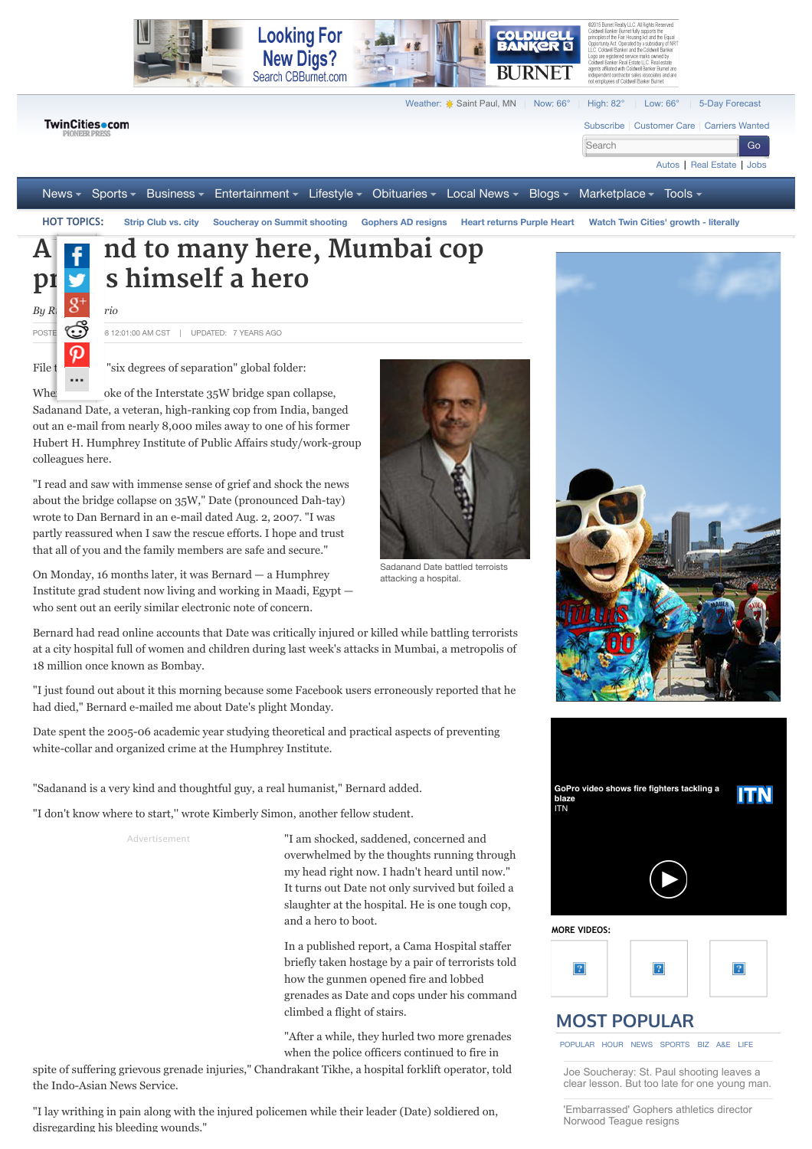

 $By R$   $\delta$   $\eta$   $\eta$ *io* 

**...**

POSTE  $\bigodot$  8 12:01:00 AM CST | UPDATED: 7 YEARS AGO

File  $t$   $\blacksquare$  "six degrees of separation" global folder:

When word broke of the Interstate 35W bridge span collapse, Sadanand Date, a veteran, high-ranking cop from India, banged out an e-mail from nearly 8,000 miles away to one of his former Hubert H. Humphrey Institute of Public Affairs study/work-group colleagues here.

"I read and saw with immense sense of grief and shock the news about the bridge collapse on 35W," Date (pronounced Dah-tay) wrote to Dan Bernard in an e-mail dated Aug. 2, 2007. "I was partly reassured when I saw the rescue efforts. I hope and trust that all of you and the family members are safe and secure."

On Monday, 16 months later, it was Bernard — a Humphrey Institute grad student now living and working in Maadi, Egypt who sent out an eerily similar electronic note of concern.

Bernard had read online accounts that Date was critically injured or killed while battling terrorists at a city hospital full of women and children during last week's attacks in Mumbai, a metropolis of 18 million once known as Bombay.

"I just found out about it this morning because some Facebook users erroneously reported that he had died," Bernard e-mailed me about Date's plight Monday.

Date spent the 2005-06 academic year studying theoretical and practical aspects of preventing white-collar and organized crime at the Humphrey Institute.

"Sadanand is a very kind and thoughtful guy, a real humanist," Bernard added.

"I don't know where to start," wrote Kimberly Simon, another fellow student.

Advertisement

"I am shocked, saddened, concerned and overwhelmed by the thoughts running through my head right now. I hadn't heard until now." It turns out Date not only survived but foiled a slaughter at the hospital. He is one tough cop, and a hero to boot.

In a published report, a Cama Hospital staffer briefly taken hostage by a pair of terrorists old how the gunmen opened fire and lobbed grenades as Date and cops under his command climbed a flight of stairs.

"After a while, they hurled two more grenades when the police officers continued to fire in

spite of suffering grievous grenade injuries," Chandrakant Tikhe, a hospital forklift operator, told the Indo-Asian News Service.

"I lay writhing in pain along with the injured policemen while their leader (Date) soldiered on, disregarding his bleeding wounds."



Sadanand Date battled terroists attacking a hospital.





## **[MOST POPULAR](http://www.twincities.com/popular)**

[POPULAR](http://www.twincities.com/allheadlines/ci_11115903#) [HOUR](http://www.twincities.com/allheadlines/ci_11115903#) [NEWS](http://www.twincities.com/allheadlines/ci_11115903#) [SPORTS](http://www.twincities.com/allheadlines/ci_11115903#) [BIZ](http://www.twincities.com/allheadlines/ci_11115903#) [A&E](http://www.twincities.com/allheadlines/ci_11115903#) [LIFE](http://www.twincities.com/allheadlines/ci_11115903#)

Joe Soucheray: St. Paul shooting leaves a [clear lesson. But too late for one young man.](http://www.twincities.com/crime/ci_28595670/joe-soucheray-st-paul-shooting-leaves-clear-lesson?source=most_viewed)

['Embarrassed' Gophers athletics director](http://www.twincities.com/localnews/ci_28601132/umn-athletic-director-norwood-teague-expected-resign?source=most_viewed) Norwood Teague resigns